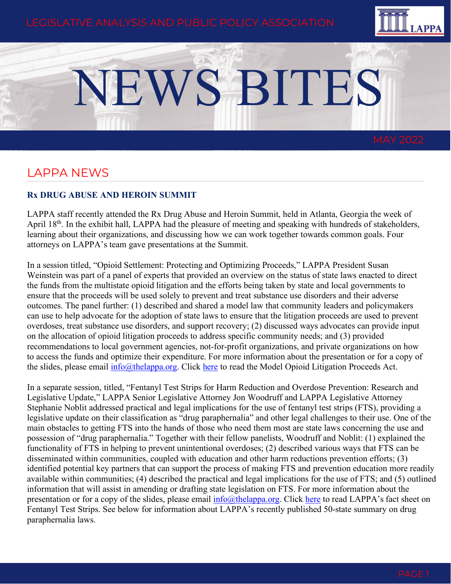

# NEWS BITES

## LAPPA NEWS

### **Rx DRUG ABUSE AND HEROIN SUMMIT**

LAPPA staff recently attended the Rx Drug Abuse and Heroin Summit, held in Atlanta, Georgia the week of April 18<sup>th</sup>. In the exhibit hall, LAPPA had the pleasure of meeting and speaking with hundreds of stakeholders, learning about their organizations, and discussing how we can work together towards common goals. Four attorneys on LAPPA's team gave presentations at the Summit.

In a session titled, "Opioid Settlement: Protecting and Optimizing Proceeds," LAPPA President Susan Weinstein was part of a panel of experts that provided an overview on the status of state laws enacted to direct the funds from the multistate opioid litigation and the efforts being taken by state and local governments to ensure that the proceeds will be used solely to prevent and treat substance use disorders and their adverse outcomes. The panel further: (1) described and shared a model law that community leaders and policymakers can use to help advocate for the adoption of state laws to ensure that the litigation proceeds are used to prevent overdoses, treat substance use disorders, and support recovery; (2) discussed ways advocates can provide input on the allocation of opioid litigation proceeds to address specific community needs; and (3) provided recommendations to local government agencies, not-for-profit organizations, and private organizations on how to access the funds and optimize their expenditure. For more information about the presentation or for a copy of the slides, please email [info@thelappa.org.](mailto:info@thelappa.org) Click [here](https://legislativeanalysis.org/model-opioid-litigation-proceeds-act/) to read the Model Opioid Litigation Proceeds Act.

In a separate session, titled, "Fentanyl Test Strips for Harm Reduction and Overdose Prevention: Research and Legislative Update," LAPPA Senior Legislative Attorney Jon Woodruff and LAPPA Legislative Attorney Stephanie Noblit addressed practical and legal implications for the use of fentanyl test strips (FTS), providing a legislative update on their classification as "drug paraphernalia" and other legal challenges to their use. One of the main obstacles to getting FTS into the hands of those who need them most are state laws concerning the use and possession of "drug paraphernalia." Together with their fellow panelists, Woodruff and Noblit: (1) explained the functionality of FTS in helping to prevent unintentional overdoses; (2) described various ways that FTS can be disseminated within communities, coupled with education and other harm reductions prevention efforts; (3) identified potential key partners that can support the process of making FTS and prevention education more readily available within communities; (4) described the practical and legal implications for the use of FTS; and (5) outlined information that will assist in amending or drafting state legislation on FTS. For more information about the presentation or for a copy of the slides, please email [info@thelappa.org.](mailto:info@thelappa.org) Click [here](https://legislativeanalysis.org/fentanyl-test-strips-2/) to read LAPPA's fact sheet on Fentanyl Test Strips. See below for information about LAPPA's recently published 50-state summary on drug paraphernalia laws.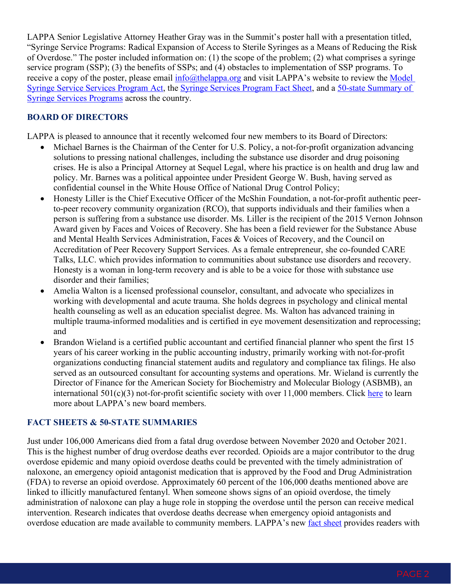LAPPA Senior Legislative Attorney Heather Gray was in the Summit's poster hall with a presentation titled, "Syringe Service Programs: Radical Expansion of Access to Sterile Syringes as a Means of Reducing the Risk of Overdose." The poster included information on: (1) the scope of the problem; (2) what comprises a syringe service program (SSP); (3) the benefits of SSPs; and (4) obstacles to implementation of SSP programs. To receive a copy of the poster, please email [info@thelappa.org](mailto:info@thelappa.org) and visit LAPPA's website to review the Model Syringe Service [Services Program Act,](https://legislativeanalysis.org/model-syringe-services-program-act/) the [Syringe Services Program Fact Sheet,](https://legislativeanalysis.org/syringe-services-programs/) and a [50-state Summary of](https://legislativeanalysis.org/syringe-services-programs-summary-of-state-laws/)  [Syringe Services Programs](https://legislativeanalysis.org/syringe-services-programs-summary-of-state-laws/) across the country.

#### **BOARD OF DIRECTORS**

LAPPA is pleased to announce that it recently welcomed four new members to its Board of Directors:

- Michael Barnes is the Chairman of the Center for U.S. Policy, a not-for-profit organization advancing solutions to pressing national challenges, including the substance use disorder and drug poisoning crises. He is also a Principal Attorney at Sequel Legal, where his practice is on health and drug law and policy. Mr. Barnes was a political appointee under President George W. Bush, having served as confidential counsel in the White House Office of National Drug Control Policy;
- Honesty Liller is the Chief Executive Officer of the McShin Foundation, a not-for-profit authentic peerto-peer recovery community organization (RCO), that supports individuals and their families when a person is suffering from a substance use disorder. Ms. Liller is the recipient of the 2015 Vernon Johnson Award given by Faces and Voices of Recovery. She has been a field reviewer for the Substance Abuse and Mental Health Services Administration, Faces & Voices of Recovery, and the Council on Accreditation of Peer Recovery Support Services. As a female entrepreneur, she co-founded CARE Talks, LLC. which provides information to communities about substance use disorders and recovery. Honesty is a woman in long-term recovery and is able to be a voice for those with substance use disorder and their families;
- Amelia Walton is a licensed professional counselor, consultant, and advocate who specializes in working with developmental and acute trauma. She holds degrees in psychology and clinical mental health counseling as well as an education specialist degree. Ms. Walton has advanced training in multiple trauma-informed modalities and is certified in eye movement desensitization and reprocessing; and
- Brandon Wieland is a certified public accountant and certified financial planner who spent the first 15 years of his career working in the public accounting industry, primarily working with not-for-profit organizations conducting financial statement audits and regulatory and compliance tax filings. He also served as an outsourced consultant for accounting systems and operations. Mr. Wieland is currently the Director of Finance for the American Society for Biochemistry and Molecular Biology (ASBMB), an international  $501(c)(3)$  not-for-profit scientific society with over 11,000 members. Click [here](https://legislativeanalysis.org/board/) to learn more about LAPPA's new board members.

#### **FACT SHEETS & 50-STATE SUMMARIES**

Just under 106,000 Americans died from a fatal drug overdose between November 2020 and October 2021. This is the highest number of drug overdose deaths ever recorded. Opioids are a major contributor to the drug overdose epidemic and many opioid overdose deaths could be prevented with the timely administration of naloxone, an emergency opioid antagonist medication that is approved by the Food and Drug Administration (FDA) to reverse an opioid overdose. Approximately 60 percent of the 106,000 deaths mentioned above are linked to illicitly manufactured fentanyl. When someone shows signs of an opioid overdose, the timely administration of naloxone can play a huge role in stopping the overdose until the person can receive medical intervention. Research indicates that overdose deaths decrease when emergency opioid antagonists and overdose education are made available to community members. LAPPA's new [fact sheet](https://legislativeanalysis.org/naloxone-access/) provides readers with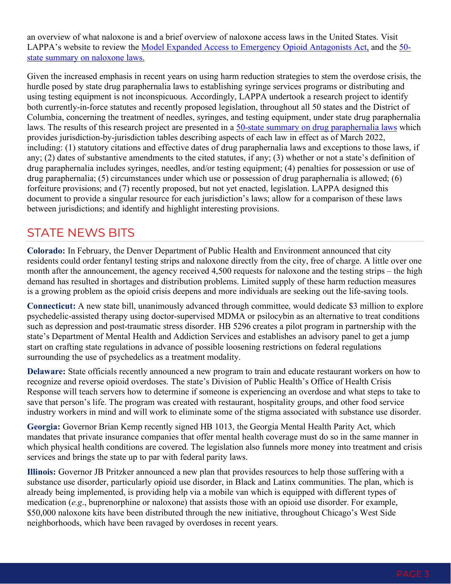an overview of what naloxone is and a brief overview of naloxone access laws in the United States. Visit LAPPA's website to review the [Model Expanded Access to Emergency Opioid Antagonists Act,](https://legislativeanalysis.org/model-expanded-access-to-emergency-opioid-antagonists-act/) and the [50](https://legislativeanalysis.org/naloxone-summary-of-state-laws/) [state summary on naloxone laws.](https://legislativeanalysis.org/naloxone-summary-of-state-laws/)

Given the increased emphasis in recent years on using harm reduction strategies to stem the overdose crisis, the hurdle posed by state drug paraphernalia laws to establishing syringe services programs or distributing and using testing equipment is not inconspicuous. Accordingly, LAPPA undertook a research project to identify both currently-in-force statutes and recently proposed legislation, throughout all 50 states and the District of Columbia, concerning the treatment of needles, syringes, and testing equipment, under state drug paraphernalia laws. The results of this research project are presented in a [50-state summary on drug paraphernalia laws](https://legislativeanalysis.org/drug-paraphernalia-summary-of-state-laws/) which provides jurisdiction-by-jurisdiction tables describing aspects of each law in effect as of March 2022, including: (1) statutory citations and effective dates of drug paraphernalia laws and exceptions to those laws, if any; (2) dates of substantive amendments to the cited statutes, if any; (3) whether or not a state's definition of drug paraphernalia includes syringes, needles, and/or testing equipment; (4) penalties for possession or use of drug paraphernalia; (5) circumstances under which use or possession of drug paraphernalia is allowed; (6) forfeiture provisions; and (7) recently proposed, but not yet enacted, legislation. LAPPA designed this document to provide a singular resource for each jurisdiction's laws; allow for a comparison of these laws between jurisdictions; and identify and highlight interesting provisions.

# STATE NEWS BITS

**Colorado:** In February, the Denver Department of Public Health and Environment announced that city residents could order fentanyl testing strips and naloxone directly from the city, free of charge. A little over one month after the announcement, the agency received 4,500 requests for naloxone and the testing strips – the high demand has resulted in shortages and distribution problems. Limited supply of these harm reduction measures is a growing problem as the opioid crisis deepens and more individuals are seeking out the life-saving tools.

**Connecticut:** A new state bill, unanimously advanced through committee, would dedicate \$3 million to explore psychedelic-assisted therapy using doctor-supervised MDMA or psilocybin as an alternative to treat conditions such as depression and post-traumatic stress disorder. HB 5296 creates a pilot program in partnership with the state's Department of Mental Health and Addiction Services and establishes an advisory panel to get a jump start on crafting state regulations in advance of possible loosening restrictions on federal regulations surrounding the use of psychedelics as a treatment modality.

**Delaware:** State officials recently announced a new program to train and educate restaurant workers on how to recognize and reverse opioid overdoses. The state's Division of Public Health's Office of Health Crisis Response will teach servers how to determine if someone is experiencing an overdose and what steps to take to save that person's life. The program was created with restaurant, hospitality groups, and other food service industry workers in mind and will work to eliminate some of the stigma associated with substance use disorder.

**Georgia:** Governor Brian Kemp recently signed HB 1013, the Georgia Mental Health Parity Act, which mandates that private insurance companies that offer mental health coverage must do so in the same manner in which physical health conditions are covered. The legislation also funnels more money into treatment and crisis services and brings the state up to par with federal parity laws.

**Illinois:** Governor JB Pritzker announced a new plan that provides resources to help those suffering with a substance use disorder, particularly opioid use disorder, in Black and Latinx communities. The plan, which is already being implemented, is providing help via a mobile van which is equipped with different types of medication (*e.g*., buprenorphine or naloxone) that assists those with an opioid use disorder. For example, \$50,000 naloxone kits have been distributed through the new initiative, throughout Chicago's West Side neighborhoods, which have been ravaged by overdoses in recent years.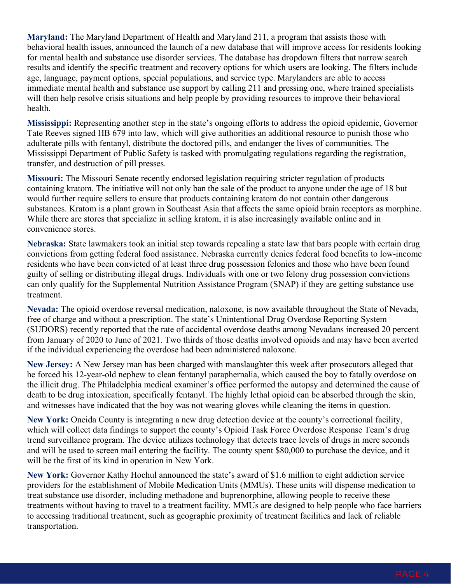**Maryland:** The Maryland Department of Health and Maryland 211, a program that assists those with behavioral health issues, announced the launch of a new database that will improve access for residents looking for mental health and substance use disorder services. The database has dropdown filters that narrow search results and identify the specific treatment and recovery options for which users are looking. The filters include age, language, payment options, special populations, and service type. Marylanders are able to access immediate mental health and substance use support by calling 211 and pressing one, where trained specialists will then help resolve crisis situations and help people by providing resources to improve their behavioral health.

**Mississippi:** Representing another step in the state's ongoing efforts to address the opioid epidemic, Governor Tate Reeves signed HB 679 into law, which will give authorities an additional resource to punish those who adulterate pills with fentanyl, distribute the doctored pills, and endanger the lives of communities. The Mississippi Department of Public Safety is tasked with promulgating regulations regarding the registration, transfer, and destruction of pill presses.

**Missouri:** The Missouri Senate recently endorsed legislation requiring stricter regulation of products containing kratom. The initiative will not only ban the sale of the product to anyone under the age of 18 but would further require sellers to ensure that products containing kratom do not contain other dangerous substances. Kratom is a plant grown in Southeast Asia that affects the same opioid brain receptors as morphine. While there are stores that specialize in selling kratom, it is also increasingly available online and in convenience stores.

**Nebraska:** State lawmakers took an initial step towards repealing a state law that bars people with certain drug convictions from getting federal food assistance. Nebraska currently denies federal food benefits to low-income residents who have been convicted of at least three drug possession felonies and those who have been found guilty of selling or distributing illegal drugs. Individuals with one or two felony drug possession convictions can only qualify for the Supplemental Nutrition Assistance Program (SNAP) if they are getting substance use treatment.

**Nevada:** The opioid overdose reversal medication, naloxone, is now available throughout the State of Nevada, free of charge and without a prescription. The state's Unintentional Drug Overdose Reporting System (SUDORS) recently reported that the rate of accidental overdose deaths among Nevadans increased 20 percent from January of 2020 to June of 2021. Two thirds of those deaths involved opioids and may have been averted if the individual experiencing the overdose had been administered naloxone.

**New Jersey:** A New Jersey man has been charged with manslaughter this week after prosecutors alleged that he forced his 12-year-old nephew to clean fentanyl paraphernalia, which caused the boy to fatally overdose on the illicit drug. The Philadelphia medical examiner's office performed the autopsy and determined the cause of death to be drug intoxication, specifically fentanyl. The highly lethal opioid can be absorbed through the skin, and witnesses have indicated that the boy was not wearing gloves while cleaning the items in question.

**New York:** Oneida County is integrating a new drug detection device at the county's correctional facility, which will collect data findings to support the county's Opioid Task Force Overdose Response Team's drug trend surveillance program. The device utilizes technology that detects trace levels of drugs in mere seconds and will be used to screen mail entering the facility. The county spent \$80,000 to purchase the device, and it will be the first of its kind in operation in New York.

**New York:** Governor Kathy Hochul announced the state's award of \$1.6 million to eight addiction service providers for the establishment of Mobile Medication Units (MMUs). These units will dispense medication to treat substance use disorder, including methadone and buprenorphine, allowing people to receive these treatments without having to travel to a treatment facility. MMUs are designed to help people who face barriers to accessing traditional treatment, such as geographic proximity of treatment facilities and lack of reliable transportation.